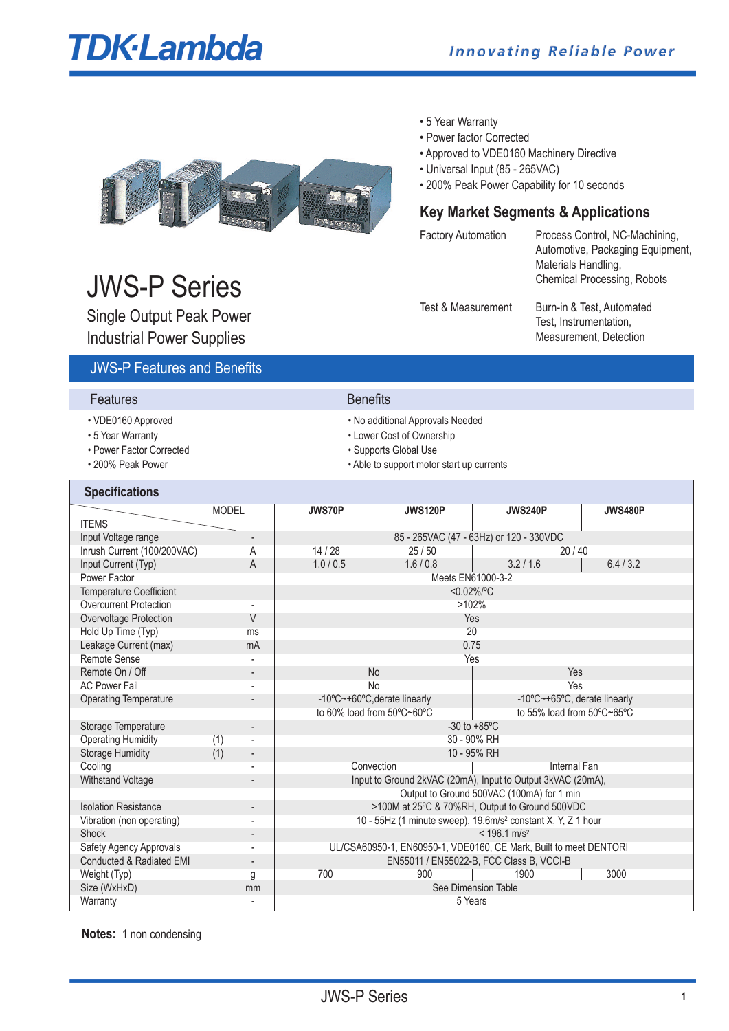# **TDK**·Lambda



# JWS-P Series

Single Output Peak Power Industrial Power Supplies

## JWS-P Features and Benefits

**Features** Benefits

**Specifications** 

- 
- 
- Power Factor Corrected Supports Global Use
- 
- 5 Year Warranty
- Power factor Corrected
- Approved to VDE0160 Machinery Directive
- Universal Input (85 265VAC)
- 200% Peak Power Capability for 10 seconds

### **Key Market Segments & Applications**

Factory Automation Process Control, NC-Machining, Automotive, Packaging Equipment, Materials Handling, Chemical Processing, Robots

Test & Measurement Burn-in & Test, Automated Test, Instrumentation, Measurement, Detection

- VDE0160 Approved No additional Approvals Needed
- 5 Year Warranty Lower Cost of Ownership
	-
- 200% Peak Power 200% Peak Power

| <b>Specifications</b>            |                          |                                                                          |                |                |                |  |  |
|----------------------------------|--------------------------|--------------------------------------------------------------------------|----------------|----------------|----------------|--|--|
| <b>MODEL</b>                     |                          | <b>JWS70P</b>                                                            | <b>JWS120P</b> | <b>JWS240P</b> | <b>JWS480P</b> |  |  |
| <b>ITEMS</b>                     |                          |                                                                          |                |                |                |  |  |
| Input Voltage range              | $\overline{\phantom{a}}$ | 85 - 265VAC (47 - 63Hz) or 120 - 330VDC                                  |                |                |                |  |  |
| Inrush Current (100/200VAC)      | A                        | 14/28                                                                    | 25/50          | 20/40          |                |  |  |
| Input Current (Typ)              | A                        | 1.0/0.5                                                                  | 1.6/0.8        | 3.2 / 1.6      | 6.4 / 3.2      |  |  |
| Power Factor                     |                          | Meets EN61000-3-2                                                        |                |                |                |  |  |
| <b>Temperature Coefficient</b>   |                          | <0.02%/°C                                                                |                |                |                |  |  |
| Overcurrent Protection           |                          | $>102\%$                                                                 |                |                |                |  |  |
| Overvoltage Protection           | V                        | Yes                                                                      |                |                |                |  |  |
| Hold Up Time (Typ)               | ms                       | 20                                                                       |                |                |                |  |  |
| Leakage Current (max)            | mA                       | 0.75                                                                     |                |                |                |  |  |
| Remote Sense                     |                          | Yes                                                                      |                |                |                |  |  |
| Remote On / Off                  |                          |                                                                          | <b>No</b>      | <b>Yes</b>     |                |  |  |
| <b>AC Power Fail</b>             |                          | <b>No</b><br>Yes                                                         |                |                |                |  |  |
| <b>Operating Temperature</b>     |                          | -10°C~+60°C, derate linearly<br>-10°C~+65°C, derate linearly             |                |                |                |  |  |
|                                  |                          | to 60% load from 50°C~60°C<br>to 55% load from 50°C~65°C                 |                |                |                |  |  |
| Storage Temperature              | $\overline{a}$           | $-30$ to $+85^{\circ}$ C                                                 |                |                |                |  |  |
| <b>Operating Humidity</b><br>(1) |                          | 30 - 90% RH                                                              |                |                |                |  |  |
| <b>Storage Humidity</b><br>(1)   |                          | 10 - 95% RH                                                              |                |                |                |  |  |
| Cooling                          |                          | Convection<br>Internal Fan                                               |                |                |                |  |  |
| Withstand Voltage                |                          | Input to Ground 2kVAC (20mA), Input to Output 3kVAC (20mA),              |                |                |                |  |  |
|                                  |                          | Output to Ground 500VAC (100mA) for 1 min                                |                |                |                |  |  |
| <b>Isolation Resistance</b>      |                          | >100M at 25°C & 70%RH, Output to Ground 500VDC                           |                |                |                |  |  |
| Vibration (non operating)        |                          | 10 - 55Hz (1 minute sweep), 19.6m/s <sup>2</sup> constant X, Y, Z 1 hour |                |                |                |  |  |
| Shock                            |                          | $< 196.1$ m/s <sup>2</sup>                                               |                |                |                |  |  |
| Safety Agency Approvals          |                          | UL/CSA60950-1, EN60950-1, VDE0160, CE Mark, Built to meet DENTORI        |                |                |                |  |  |
| Conducted & Radiated EMI         |                          | EN55011 / EN55022-B, FCC Class B, VCCI-B                                 |                |                |                |  |  |
| Weight (Typ)                     | g                        | 700                                                                      | 900            | 1900           | 3000           |  |  |
| Size (WxHxD)                     | mm                       | See Dimension Table                                                      |                |                |                |  |  |
| Warranty                         |                          | 5 Years                                                                  |                |                |                |  |  |

**Notes:** 1 non condensing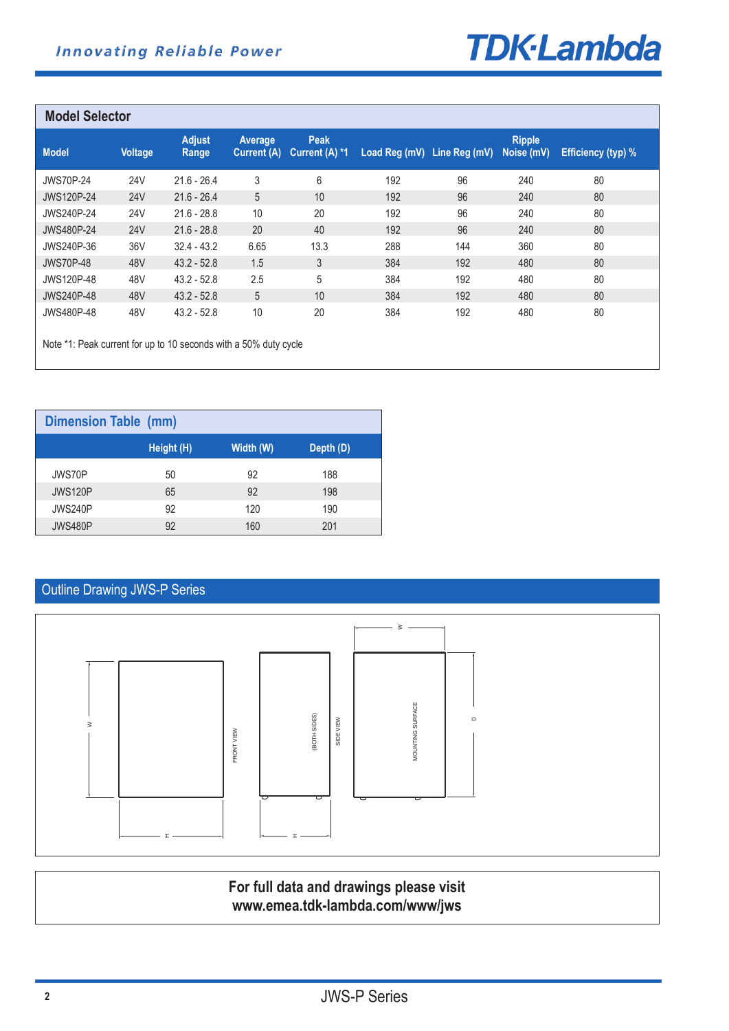# **TDK-Lambda**

| <b>Model Selector</b> |                |                               |                        |                        |               |               |                             |                           |
|-----------------------|----------------|-------------------------------|------------------------|------------------------|---------------|---------------|-----------------------------|---------------------------|
| <b>Model</b>          | <b>Voltage</b> | <b>Adjust</b><br><b>Range</b> | Average<br>Current (A) | Peak<br>Current (A) *1 | Load Reg (mV) | Line Reg (mV) | <b>Ripple</b><br>Noise (mV) | <b>Efficiency (typ) %</b> |
| <b>JWS70P-24</b>      | 24V            | $21.6 - 26.4$                 | 3                      | 6                      | 192           | 96            | 240                         | 80                        |
| <b>JWS120P-24</b>     | <b>24V</b>     | $21.6 - 26.4$                 | 5                      | 10                     | 192           | 96            | 240                         | 80                        |
| JWS240P-24            | 24V            | $21.6 - 28.8$                 | 10                     | 20                     | 192           | 96            | 240                         | 80                        |
| <b>JWS480P-24</b>     | <b>24V</b>     | $21.6 - 28.8$                 | 20                     | 40                     | 192           | 96            | 240                         | 80                        |
| JWS240P-36            | 36V            | $32.4 - 43.2$                 | 6.65                   | 13.3                   | 288           | 144           | 360                         | 80                        |
| <b>JWS70P-48</b>      | 48V            | $43.2 - 52.8$                 | 1.5                    | 3                      | 384           | 192           | 480                         | 80                        |
| <b>JWS120P-48</b>     | 48V            | $43.2 - 52.8$                 | 2.5                    | 5                      | 384           | 192           | 480                         | 80                        |
| <b>JWS240P-48</b>     | 48V            | $43.2 - 52.8$                 | 5                      | 10                     | 384           | 192           | 480                         | 80                        |
| <b>JWS480P-48</b>     | 48V            | $43.2 - 52.8$                 | 10                     | 20                     | 384           | 192           | 480                         | 80                        |

Note \*1: Peak current for up to 10 seconds with a 50% duty cycle

| <b>Dimension Table (mm)</b> |            |           |           |
|-----------------------------|------------|-----------|-----------|
|                             | Height (H) | Width (W) | Depth (D) |
| JWS70P                      | 50         | 92        | 188       |
| <b>JWS120P</b>              | 65         | 92        | 198       |
| <b>JWS240P</b>              | 92         | 120       | 190       |
| <b>JWS480P</b>              | 92         | 160       | 201       |

# Outline Drawing JWS-P Series



# **For full data and drawings please visit www.emea.tdk-lambda.com/www/jws**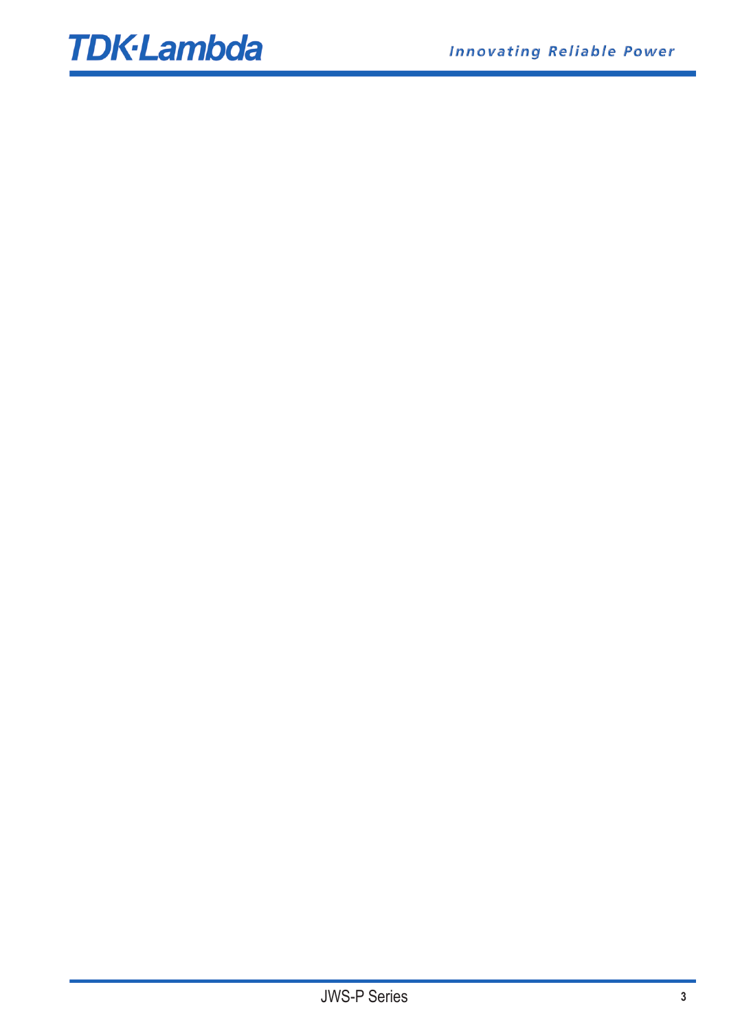